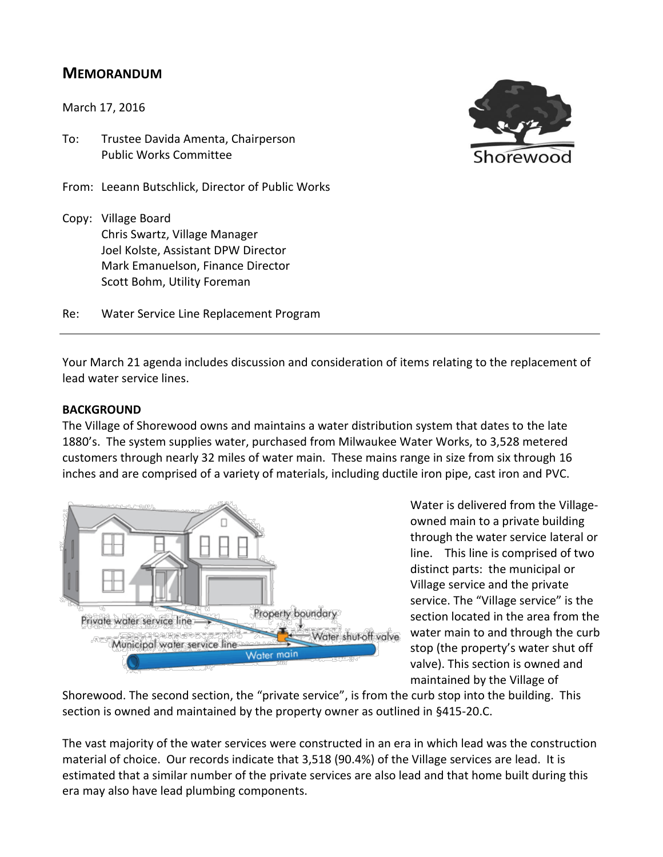# **MEMORANDUM**

March 17, 2016

To: Trustee Davida Amenta, Chairperson Public Works Committee

From: Leeann Butschlick, Director of Public Works

Copy: Village Board Chris Swartz, Village Manager Joel Kolste, Assistant DPW Director Mark Emanuelson, Finance Director Scott Bohm, Utility Foreman

Re: Water Service Line Replacement Program

Your March 21 agenda includes discussion and consideration of items relating to the replacement of lead water service lines.

#### **BACKGROUND**

The Village of Shorewood owns and maintains a water distribution system that dates to the late 1880's. The system supplies water, purchased from Milwaukee Water Works, to 3,528 metered customers through nearly 32 miles of water main. These mains range in size from six through 16 inches and are comprised of a variety of materials, including ductile iron pipe, cast iron and PVC.



Water is delivered from the Villageowned main to a private building through the water service lateral or line. This line is comprised of two distinct parts: the municipal or Village service and the private service. The "Village service" is the section located in the area from the water main to and through the curb stop (the property's water shut off valve). This section is owned and maintained by the Village of

Shorewood. The second section, the "private service", is from the curb stop into the building. This section is owned and maintained by the property owner as outlined in §415-20.C.

The vast majority of the water services were constructed in an era in which lead was the construction material of choice. Our records indicate that 3,518 (90.4%) of the Village services are lead. It is estimated that a similar number of the private services are also lead and that home built during this era may also have lead plumbing components.

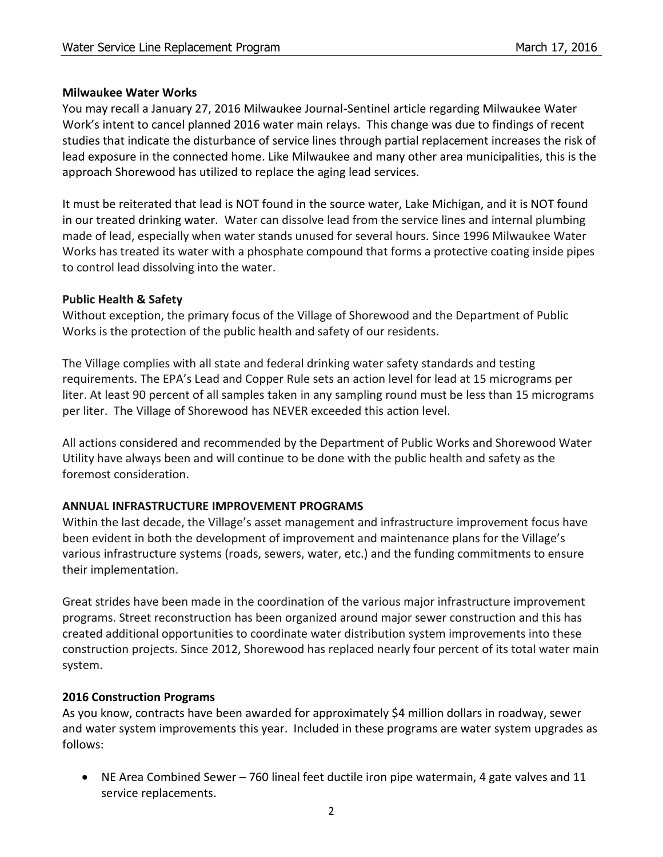#### **Milwaukee Water Works**

You may recall a January 27, 2016 Milwaukee Journal-Sentinel article regarding Milwaukee Water Work's intent to cancel planned 2016 water main relays. This change was due to findings of recent studies that indicate the disturbance of service lines through partial replacement increases the risk of lead exposure in the connected home. Like Milwaukee and many other area municipalities, this is the approach Shorewood has utilized to replace the aging lead services.

It must be reiterated that lead is NOT found in the source water, Lake Michigan, and it is NOT found in our treated drinking water. Water can dissolve lead from the service lines and internal plumbing made of lead, especially when water stands unused for several hours. Since 1996 Milwaukee Water Works has treated its water with a phosphate compound that forms a protective coating inside pipes to control lead dissolving into the water.

#### **Public Health & Safety**

Without exception, the primary focus of the Village of Shorewood and the Department of Public Works is the protection of the public health and safety of our residents.

The Village complies with all state and federal drinking water safety standards and testing requirements. The EPA's Lead and Copper Rule sets an action level for lead at 15 micrograms per liter. At least 90 percent of all samples taken in any sampling round must be less than 15 micrograms per liter. The Village of Shorewood has NEVER exceeded this action level.

All actions considered and recommended by the Department of Public Works and Shorewood Water Utility have always been and will continue to be done with the public health and safety as the foremost consideration.

## **ANNUAL INFRASTRUCTURE IMPROVEMENT PROGRAMS**

Within the last decade, the Village's asset management and infrastructure improvement focus have been evident in both the development of improvement and maintenance plans for the Village's various infrastructure systems (roads, sewers, water, etc.) and the funding commitments to ensure their implementation.

Great strides have been made in the coordination of the various major infrastructure improvement programs. Street reconstruction has been organized around major sewer construction and this has created additional opportunities to coordinate water distribution system improvements into these construction projects. Since 2012, Shorewood has replaced nearly four percent of its total water main system.

## **2016 Construction Programs**

As you know, contracts have been awarded for approximately \$4 million dollars in roadway, sewer and water system improvements this year. Included in these programs are water system upgrades as follows:

 NE Area Combined Sewer – 760 lineal feet ductile iron pipe watermain, 4 gate valves and 11 service replacements.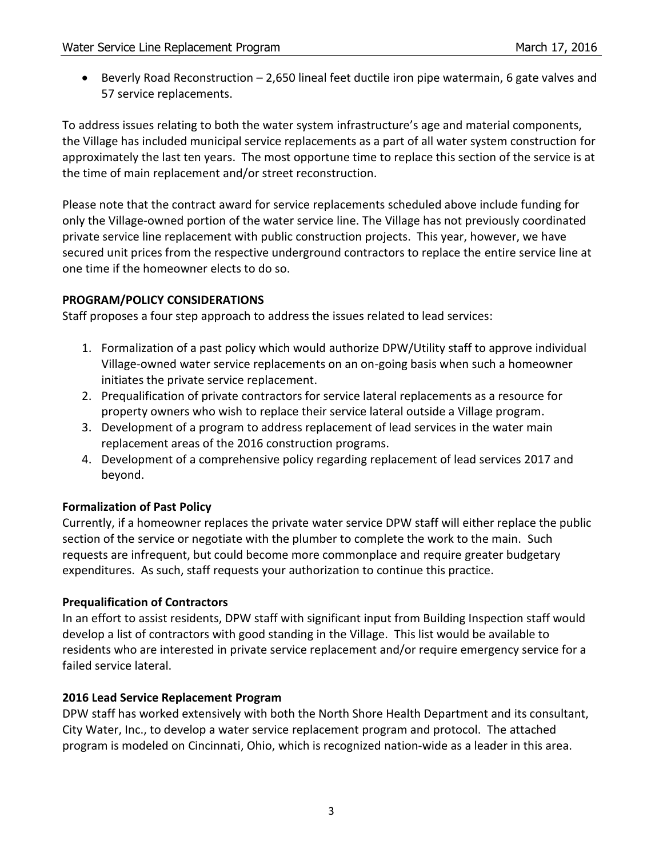Beverly Road Reconstruction – 2,650 lineal feet ductile iron pipe watermain, 6 gate valves and 57 service replacements.

To address issues relating to both the water system infrastructure's age and material components, the Village has included municipal service replacements as a part of all water system construction for approximately the last ten years. The most opportune time to replace this section of the service is at the time of main replacement and/or street reconstruction.

Please note that the contract award for service replacements scheduled above include funding for only the Village-owned portion of the water service line. The Village has not previously coordinated private service line replacement with public construction projects. This year, however, we have secured unit prices from the respective underground contractors to replace the entire service line at one time if the homeowner elects to do so.

## **PROGRAM/POLICY CONSIDERATIONS**

Staff proposes a four step approach to address the issues related to lead services:

- 1. Formalization of a past policy which would authorize DPW/Utility staff to approve individual Village-owned water service replacements on an on-going basis when such a homeowner initiates the private service replacement.
- 2. Prequalification of private contractors for service lateral replacements as a resource for property owners who wish to replace their service lateral outside a Village program.
- 3. Development of a program to address replacement of lead services in the water main replacement areas of the 2016 construction programs.
- 4. Development of a comprehensive policy regarding replacement of lead services 2017 and beyond.

# **Formalization of Past Policy**

Currently, if a homeowner replaces the private water service DPW staff will either replace the public section of the service or negotiate with the plumber to complete the work to the main. Such requests are infrequent, but could become more commonplace and require greater budgetary expenditures. As such, staff requests your authorization to continue this practice.

## **Prequalification of Contractors**

In an effort to assist residents, DPW staff with significant input from Building Inspection staff would develop a list of contractors with good standing in the Village. This list would be available to residents who are interested in private service replacement and/or require emergency service for a failed service lateral.

## **2016 Lead Service Replacement Program**

DPW staff has worked extensively with both the North Shore Health Department and its consultant, City Water, Inc., to develop a water service replacement program and protocol. The attached program is modeled on Cincinnati, Ohio, which is recognized nation-wide as a leader in this area.